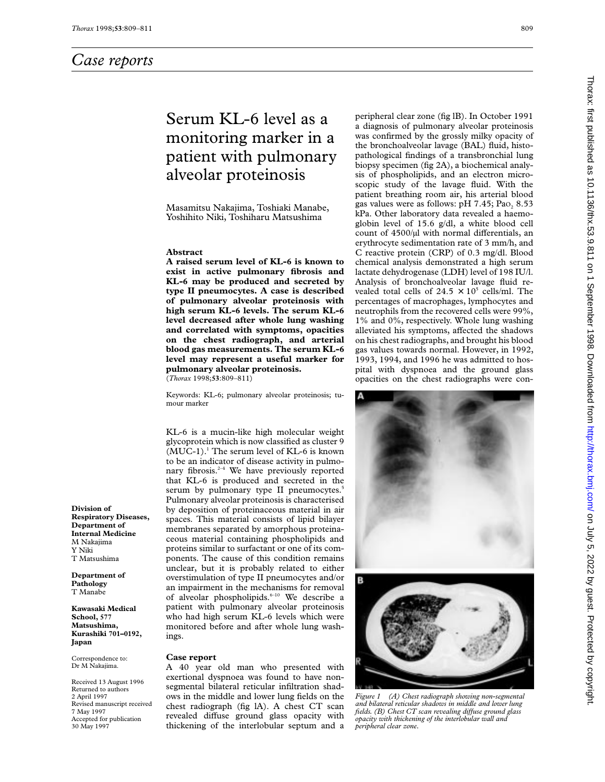# Serum KL-6 level as a monitoring marker in a patient with pulmonary alveolar proteinosis

Masamitsu Nakajima, Toshiaki Manabe, Yoshihito Niki, Toshiharu Matsushima

#### **Abstract**

**A raised serum level of KL-6 is known to exist in active pulmonary fibrosis and KL-6 may be produced and secreted by type II pneumocytes. A case is described of pulmonary alveolar proteinosis with high serum KL-6 levels. The serum KL-6 level decreased after whole lung washing and correlated with symptoms, opacities on the chest radiograph, and arterial blood gas measurements. The serum KL-6 level may represent a useful marker for pulmonary alveolar proteinosis.** (*Thorax* 1998;**53**:809–811)

Keywords: KL-6; pulmonary alveolar proteinosis; tumour marker

KL-6 is a mucin-like high molecular weight glycoprotein which is now classified as cluster 9  $(MUC-1).$ <sup>1</sup> The serum level of KL-6 is known to be an indicator of disease activity in pulmonary fibrosis. $2-4$  We have previously reported that KL-6 is produced and secreted in the serum by pulmonary type II pneumocytes.<sup>5</sup> Pulmonary alveolar proteinosis is characterised by deposition of proteinaceous material in air spaces. This material consists of lipid bilayer membranes separated by amorphous proteinaceous material containing phospholipids and proteins similar to surfactant or one of its components. The cause of this condition remains unclear, but it is probably related to either overstimulation of type II pneumocytes and/or an impairment in the mechanisms for removal of alveolar phospholipids.<sup>6-10</sup> We describe a patient with pulmonary alveolar proteinosis who had high serum KL-6 levels which were monitored before and after whole lung washings.

#### **Case report**

A 40 year old man who presented with exertional dyspnoea was found to have nonsegmental bilateral reticular infiltration shadows in the middle and lower lung fields on the chest radiograph (fig lA). A chest CT scan revealed diffuse ground glass opacity with thickening of the interlobular septum and a

peripheral clear zone (fig lB). In October 1991 a diagnosis of pulmonary alveolar proteinosis was confirmed by the grossly milky opacity of the bronchoalveolar lavage (BAL) fluid, histopathological findings of a transbronchial lung biopsy specimen (fig 2A), a biochemical analysis of phospholipids, and an electron microscopic study of the lavage fluid. With the patient breathing room air, his arterial blood gas values were as follows:  $pH$  7.45; Pao, 8.53 kPa. Other laboratory data revealed a haemoglobin level of 15.6 g/dl, a white blood cell count of  $4500/\mu l$  with normal differentials, an erythrocyte sedimentation rate of 3 mm/h, and C reactive protein (CRP) of 0.3 mg/dl. Blood chemical analysis demonstrated a high serum lactate dehydrogenase (LDH) level of 198 IU/l. Analysis of bronchoalveolar lavage fluid revealed total cells of  $24.5 \times 10^5$  cells/ml. The percentages of macrophages, lymphocytes and neutrophils from the recovered cells were 99%, 1% and 0%, respectively. Whole lung washing alleviated his symptoms, affected the shadows on his chest radiographs, and brought his blood gas values towards normal. However, in 1992, 1993, 1994, and 1996 he was admitted to hospital with dyspnoea and the ground glass opacities on the chest radiographs were con-





*Figure 1 (A) Chest radiograph showing non-segmental and bilateral reticular shadows in middle and lower lung fields. (B) Chest CT scan revealing diVuse ground glass opacity with thickening of the interlobular wall and peripheral clear zone.*

**Division of Respiratory Diseases, Department of Internal Medicine** M Nakajima Y Niki T Matsushima

**Department of Pathology** T Manabe

**Kawasaki Medical School, 577 Matsushima, Kurashiki 701–0192, Japan**

Correspondence to: Dr M Nakajima.

Received 13 August 1996 Returned to authors 2 April 1997 Revised manuscript received 7 May 1997 Accepted for publication 30 May 1997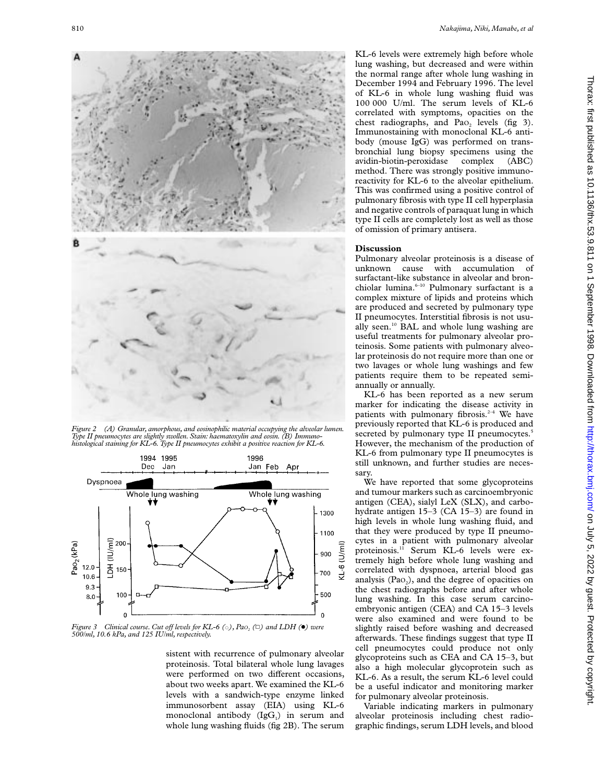

*Figure 2 (A) Granular, amorphous, and eosinophilic material occupying the alveolar lumen. Type II pneumocytes are slightly swollen. Stain: haematoxylin and eosin. (B) Immunohistological staining for KL-6. Type II pneumocytes exhibit a positive reaction for KL-6.*



*Figure 3 Clinical course. Cut off levels for KL-6* ( $\circ$ ), *Pao<sub>2</sub>* ( $\Box$ ) and LDH ( $\bullet$ ) were<br>500/ml, 10.6 kPa, and 125 IU/ml, respectively.

sistent with recurrence of pulmonary alveolar proteinosis. Total bilateral whole lung lavages were performed on two different occasions, about two weeks apart. We examined the KL-6 levels with a sandwich-type enzyme linked immunosorbent assay (EIA) using KL-6 monoclonal antibody  $(IgG<sub>1</sub>)$  in serum and whole lung washing fluids (fig 2B). The serum KL-6 levels were extremely high before whole lung washing, but decreased and were within the normal range after whole lung washing in December 1994 and February 1996. The level of KL-6 in whole lung washing fluid was 100 000 U/ml. The serum levels of KL-6 correlated with symptoms, opacities on the chest radiographs, and Pao<sub>2</sub> levels (fig 3). Immunostaining with monoclonal KL-6 antibody (mouse IgG) was performed on transbronchial lung biopsy specimens using the avidin-biotin-peroxidase complex (ABC) method. There was strongly positive immunoreactivity for KL-6 to the alveolar epithelium. This was confirmed using a positive control of pulmonary fibrosis with type II cell hyperplasia and negative controls of paraquat lung in which type II cells are completely lost as well as those of omission of primary antisera.

### **Discussion**

Pulmonary alveolar proteinosis is a disease of unknown cause with accumulation of surfactant-like substance in alveolar and bronchiolar lumina.<sup>6-10</sup> Pulmonary surfactant is a complex mixture of lipids and proteins which are produced and secreted by pulmonary type II pneumocytes. Interstitial fibrosis is not usually seen.10 BAL and whole lung washing are useful treatments for pulmonary alveolar proteinosis. Some patients with pulmonary alveolar proteinosis do not require more than one or two lavages or whole lung washings and few patients require them to be repeated semiannually or annually.

KL-6 has been reported as a new serum marker for indicating the disease activity in patients with pulmonary fibrosis. $2-4$  We have previously reported that KL-6 is produced and secreted by pulmonary type II pneumocytes.<sup>5</sup> However, the mechanism of the production of KL-6 from pulmonary type II pneumocytes is still unknown, and further studies are necessary.

We have reported that some glycoproteins and tumour markers such as carcinoembryonic antigen (CEA), sialyl LeX (SLX), and carbohydrate antigen 15–3 (CA 15–3) are found in high levels in whole lung washing fluid, and that they were produced by type II pneumocytes in a patient with pulmonary alveolar proteinosis.<sup>11</sup> Serum KL-6 levels were extremely high before whole lung washing and correlated with dyspnoea, arterial blood gas analysis  $(Pao<sub>2</sub>)$ , and the degree of opacities on the chest radiographs before and after whole lung washing. In this case serum carcinoembryonic antigen (CEA) and CA 15–3 levels were also examined and were found to be slightly raised before washing and decreased afterwards. These findings suggest that type II cell pneumocytes could produce not only glycoproteins such as CEA and CA 15–3, but also a high molecular glycoprotein such as KL-6. As a result, the serum KL-6 level could be a useful indicator and monitoring marker for pulmonary alveolar proteinosis.

Variable indicating markers in pulmonary alveolar proteinosis including chest radiographic findings, serum LDH levels, and blood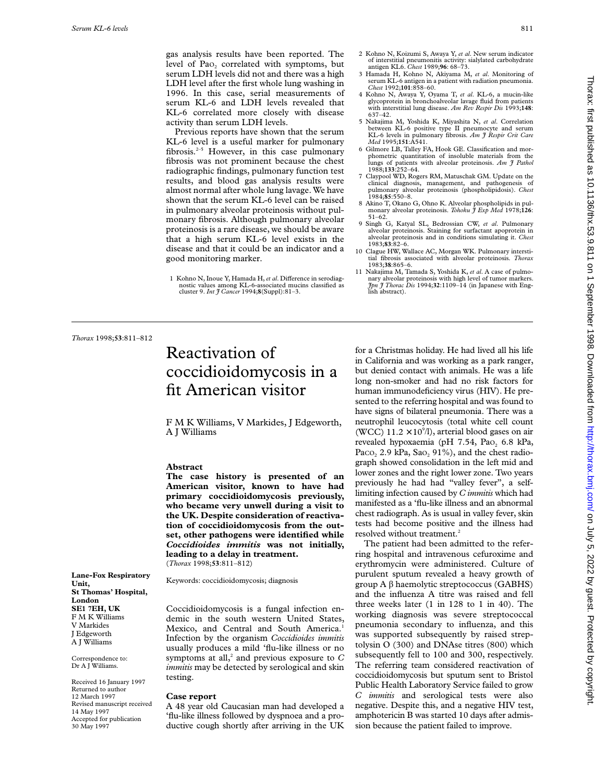gas analysis results have been reported. The level of Pao<sub>2</sub> correlated with symptoms, but serum LDH levels did not and there was a high LDH level after the first whole lung washing in 1996. In this case, serial measurements of serum KL-6 and LDH levels revealed that KL-6 correlated more closely with disease activity than serum LDH levels.

Previous reports have shown that the serum KL-6 level is a useful marker for pulmonary fibrosis.<sup>2-5</sup> However, in this case pulmonary fibrosis was not prominent because the chest radiographic findings, pulmonary function test results, and blood gas analysis results were almost normal after whole lung lavage. We have shown that the serum KL-6 level can be raised in pulmonary alveolar proteinosis without pulmonary fibrosis. Although pulmonary alveolar proteinosis is a rare disease, we should be aware that a high serum KL-6 level exists in the disease and that it could be an indicator and a good monitoring marker.

- 2 Kohno N, Koizumi S, Awaya Y, *et al*. New serum indicator of interstitial pneumonitis activity: sialylated carbohydrate antigen KL6. *Chest* 1989;**96**: 68–73.
- 3 Hamada H, Kohno N, Akiyama M, *et al*. Monitoring of serum KL-6 antigen in a patient with radiation pneumonia. *Chest* 1992;**101**:858–60.
- 4 Kohno N, Awaya Y, Oyama T, *et al*. KL-6, a mucin-like glycoprotein in bronchoalveolar lavage fluid from patients with interstitial lung disease. *Am Rev Respir Dis* 1993;**148**: 637–42.
- 5 Nakajima M, Yoshida K, Miyashita N, *et al*. Correlation between KL-6 positive type II pneumocyte and serum KL-6 levels in pulmonary fibrosis. *Am J Respir Crit Care Med* 1995;**151**:A541.
- 6 Gilmore LB, Talley FA, Hook GE. Classification and morphometric quantitation of insoluble materials from the lungs of patients with alveolar proteinosis. Am  $\tilde{\tau}$  Pathol 1988;**133**:252–64.
- 7 Claypool WD, Rogers RM, Matuschak GM. Update on the clinical diagnosis, management, and pathogenesis of pulmonary alveolar proteinosis (phospholipidosis). *Chest* 1984;**85**:550–8.
- 8 Akino T, Okano G, Ohno K. Alveolar phospholipids in pul-monary alveolar proteinosis. *Tohoku J Exp Med* 1978;**126**: 51–62.
- 9 Singh G, Katyal SL, Bedrossian CW, *et al*. Pulmonary alveolar proteinosis. Staining for surfactant apoprotein in alveolar proteinosis and in conditions simulating it. *Chest* 1983;**83**:82–6.
- 10 Clague HW, Wallace AC, Morgan WK. Pulmonary intersti-tial fibrosis associated with alveolar proteinosis. *Thorax* 1983;**38**:865–6.
- 11 Nakajima M, Tamada S, Yoshida K, *et al*. A case of pulmonary alveolar proteinosis with high level of tumor markers. *Jpn J Thorac Dis* 1994;**32**:1109–14 (in Japanese with English abstract).

*Thorax* 1998;**53**:811–812

**Lane-Fox Respiratory**

**St Thomas' Hospital,**

Received 16 January 1997 Returned to author 12 March 1997 Revised manuscript received

14 May 1997 Accepted for publication 30 May 1997

**Unit,**

**London SE1 7EH, UK** F M K Williams V Markides J Edgeworth A J Williams Correspondence to: Dr A J Williams.

## Reactivation of coccidioidomycosis in a fit American visitor

F M K Williams, V Markides, J Edgeworth, A J Williams

### **Abstract**

**The case history is presented of an American visitor, known to have had primary coccidioidomycosis previously, who became very unwell during a visit to the UK. Despite consideration of reactivation of coccidioidomycosis from the outset, other pathogens were identified while** *Coccidioides immitis* **was not initially, leading to a delay in treatment.** (*Thorax* 1998;**53**:811–812)

Keywords: coccidioidomycosis; diagnosis

Coccidioidomycosis is a fungal infection endemic in the south western United States, Mexico, and Central and South America.<sup>1</sup> Infection by the organism *Coccidioides immitis* usually produces a mild 'flu-like illness or no symptoms at all,<sup>2</sup> and previous exposure to  $C$ *immitis* may be detected by serological and skin testing.

## **Case report**

A 48 year old Caucasian man had developed a 'flu-like illness followed by dyspnoea and a productive cough shortly after arriving in the UK for a Christmas holiday. He had lived all his life in California and was working as a park ranger, but denied contact with animals. He was a life long non-smoker and had no risk factors for human immunodeficiency virus (HIV). He presented to the referring hospital and was found to have signs of bilateral pneumonia. There was a neutrophil leucocytosis (total white cell count (WCC)  $11.2 \times 10^{9}$ /l), arterial blood gases on air revealed hypoxaemia (pH  $7.54$ , Pao<sub>2</sub> 6.8 kPa, Paco,  $2.9$  kPa, Sao,  $91\%$ ), and the chest radiograph showed consolidation in the left mid and lower zones and the right lower zone. Two years previously he had had "valley fever", a selflimiting infection caused by *C immitis* which had manifested as a 'flu-like illness and an abnormal chest radiograph. As is usual in valley fever, skin tests had become positive and the illness had resolved without treatment.<sup>2</sup>

The patient had been admitted to the referring hospital and intravenous cefuroxime and erythromycin were administered. Culture of purulent sputum revealed a heavy growth of group  $A \beta$  haemolytic streptococcus (GABHS) and the influenza A titre was raised and fell three weeks later (1 in 128 to 1 in 40). The working diagnosis was severe streptococcal pneumonia secondary to influenza, and this was supported subsequently by raised streptolysin O (300) and DNAse titres (800) which subsequently fell to 100 and 300, respectively. The referring team considered reactivation of coccidioidomycosis but sputum sent to Bristol Public Health Laboratory Service failed to grow *C immitis* and serological tests were also negative. Despite this, and a negative HIV test, amphotericin B was started 10 days after admission because the patient failed to improve.

<sup>1</sup> Kohno N, Inoue Y, Hamada H, et al. Difference in serodiagnostic values among KL-6-associated mucins classified as cluster 9. *Int J Cancer* 1994;**8**(Suppl):81–3.